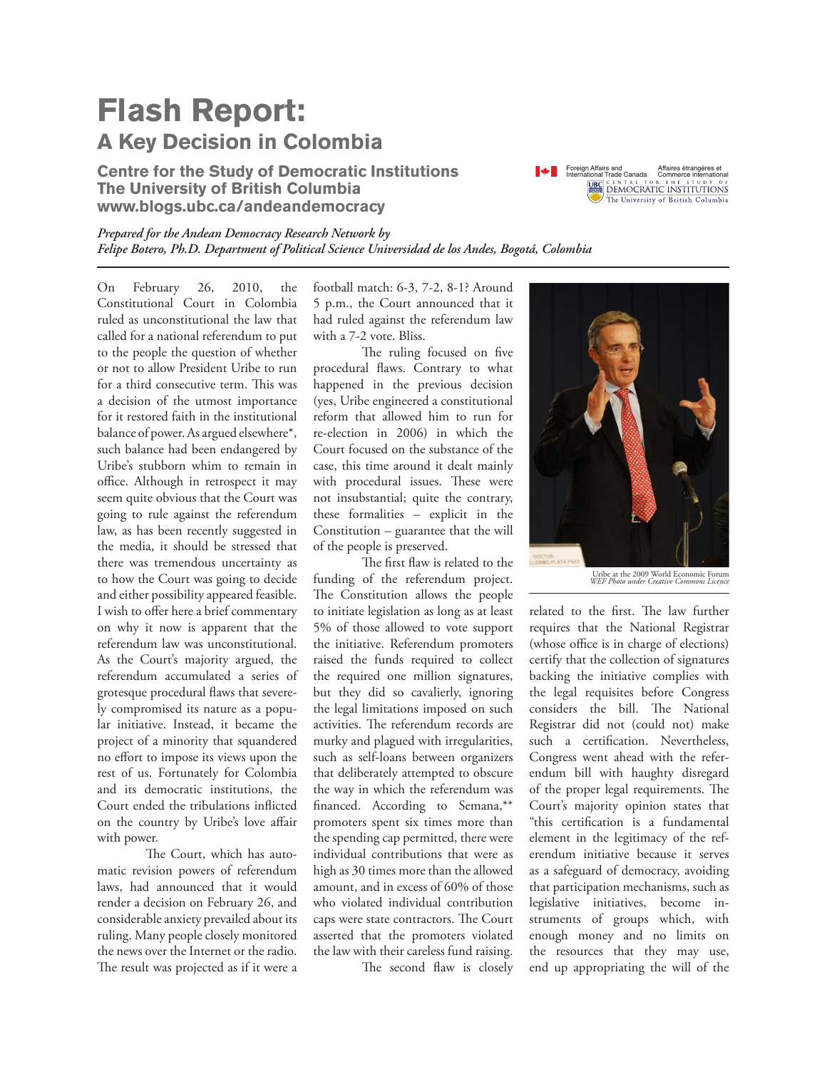## **Flash Report: A Key Decision in Colombia**

**Centre for the Study of Democratic Institutions The University of British Columbia www.blogs.ubc.ca/andeandemocracy**



*Prepared for the Andean Democracy Research Network by Felipe Botero, Ph.D. Department of Political Science Universidad de los Andes, Bogotá, Colombia*

On February 26, 2010, the Constitutional Court in Colombia ruled as unconstitutional the law that called for a national referendum to put to the people the question of whether or not to allow President Uribe to run for a third consecutive term. This was a decision of the utmost importance for it restored faith in the institutional balance of power. As argued elsewhere\*, such balance had been endangered by Uribe's stubborn whim to remain in office. Although in retrospect it may seem quite obvious that the Court was going to rule against the referendum law, as has been recently suggested in the media, it should be stressed that there was tremendous uncertainty as to how the Court was going to decide and either possibility appeared feasible. I wish to offer here a brief commentary on why it now is apparent that the referendum law was unconstitutional. As the Court's majority argued, the referendum accumulated a series of grotesque procedural flaws that severely compromised its nature as a popular initiative. Instead, it became the project of a minority that squandered no effort to impose its views upon the rest of us. Fortunately for Colombia and its democratic institutions, the Court ended the tribulations inflicted on the country by Uribe's love affair with power.

The Court, which has automatic revision powers of referendum laws, had announced that it would render a decision on February 26, and considerable anxiety prevailed about its ruling. Many people closely monitored the news over the Internet or the radio. The result was projected as if it were a

football match: 6-3, 7-2, 8-1? Around 5 p.m., the Court announced that it had ruled against the referendum law with a 7-2 vote. Bliss.

The ruling focused on five procedural flaws. Contrary to what happened in the previous decision (yes, Uribe engineered a constitutional reform that allowed him to run for re-election in 2006) in which the Court focused on the substance of the case, this time around it dealt mainly with procedural issues. These were not insubstantial; quite the contrary, these formalities – explicit in the Constitution – guarantee that the will of the people is preserved.

The first flaw is related to the funding of the referendum project. The Constitution allows the people to initiate legislation as long as at least 5% of those allowed to vote support the initiative. Referendum promoters raised the funds required to collect the required one million signatures, but they did so cavalierly, ignoring the legal limitations imposed on such activities. The referendum records are murky and plagued with irregularities, such as self-loans between organizers that deliberately attempted to obscure the way in which the referendum was financed. According to Semana,\*\* promoters spent six times more than the spending cap permitted, there were individual contributions that were as high as 30 times more than the allowed amount, and in excess of 60% of those who violated individual contribution caps were state contractors. The Court asserted that the promoters violated the law with their careless fund raising.

The second flaw is closely



Uribe at the 2009 World Economic Forum *WEF Photo under Creative Commons Licence*

related to the first. The law further requires that the National Registrar (whose office is in charge of elections) certify that the collection of signatures backing the initiative complies with the legal requisites before Congress considers the bill. The National Registrar did not (could not) make such a certification. Nevertheless, Congress went ahead with the referendum bill with haughty disregard of the proper legal requirements. The Court's majority opinion states that "this certification is a fundamental element in the legitimacy of the referendum initiative because it serves as a safeguard of democracy, avoiding that participation mechanisms, such as legislative initiatives, become instruments of groups which, with enough money and no limits on the resources that they may use, end up appropriating the will of the